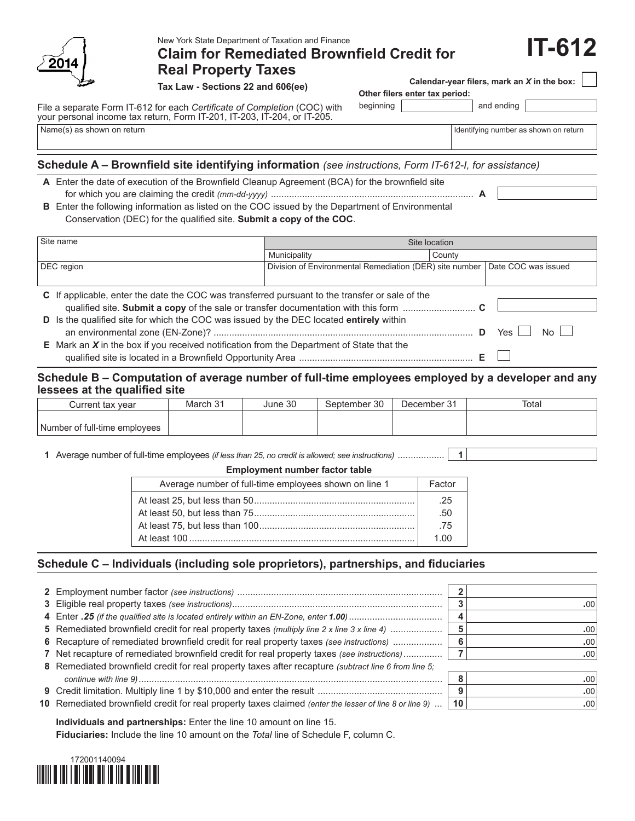

New York State Department of Taxation and Finance

# **Claim for Remediated Brownfield Credit for Real Property Taxes**

**Tax Law - Sections 22 and 606(ee)**

File a separate Form IT-612 for each *Certificate of Completion* (COC) with your personal income tax return, Form IT-201, IT-203, IT-204, or IT-205.

|                                | Calendar-year filers, mark an X in the box: |  |  |
|--------------------------------|---------------------------------------------|--|--|
| Other filers enter tax period: |                                             |  |  |

beginning | and ending

Name(s) as shown on return in the state of the state of the state of the state of the state of the state of the state of the state of the state of the state of the state of the state of the state of the state of the state

**IT-612**

## **Schedule A – Brownfield site identifying information** *(see instructions, Form IT-612-I, for assistance)*

| A Enter the date of execution of the Brownfield Cleanup Agreement (BCA) for the brownfield site |  |
|-------------------------------------------------------------------------------------------------|--|
|                                                                                                 |  |

**B** Enter the following information as listed on the COC issued by the Department of Environmental Conservation (DEC) for the qualified site. **Submit a copy of the COC**.

| Site name<br>Site location                                                                         |                                                         |        |                        |
|----------------------------------------------------------------------------------------------------|---------------------------------------------------------|--------|------------------------|
|                                                                                                    | Municipality                                            | County |                        |
| DEC region                                                                                         | Division of Environmental Remediation (DER) site number |        | Date COC was issued    |
|                                                                                                    |                                                         |        |                        |
| C If applicable, enter the date the COC was transferred pursuant to the transfer or sale of the    |                                                         |        |                        |
|                                                                                                    |                                                         |        |                        |
| D Is the qualified site for which the COC was issued by the DEC located entirely within            |                                                         |        |                        |
|                                                                                                    |                                                         |        | N <sub>0</sub><br>Yes. |
| <b>E</b> Mark an $X$ in the box if you received notification from the Department of State that the |                                                         |        |                        |
|                                                                                                    |                                                         |        |                        |

### **Schedule B – Computation of average number of full-time employees employed by a developer and any lessees at the qualified site**

| Current tax vear              | March 31 | June 30 | September 30 | December 31 | Total |
|-------------------------------|----------|---------|--------------|-------------|-------|
|                               |          |         |              |             |       |
| Number of full-time employees |          |         |              |             |       |

**1** Average number of full-time employees *(if less than 25, no credit is allowed; see instructions)* .................. **1**

#### **Employment number factor table**

| Average number of full-time employees shown on line 1 | Factor |  |  |
|-------------------------------------------------------|--------|--|--|
|                                                       | .25    |  |  |
|                                                       |        |  |  |
|                                                       | .75    |  |  |
|                                                       | 1 በበ   |  |  |
|                                                       |        |  |  |

### **Schedule C – Individuals (including sole proprietors), partnerships, and fiduciaries**

|                                                                                                        |    | .00 <sup>1</sup> |
|--------------------------------------------------------------------------------------------------------|----|------------------|
|                                                                                                        |    |                  |
| 5 Remediated brownfield credit for real property taxes (multiply line 2 x line 3 x line 4)             |    | .00 <sup>1</sup> |
| 6 Recapture of remediated brownfield credit for real property taxes (see instructions)                 |    | .00              |
| 7 Net recapture of remediated brownfield credit for real property taxes (see instructions)             |    | .00              |
| 8 Remediated brownfield credit for real property taxes after recapture (subtract line 6 from line 5;   |    |                  |
|                                                                                                        |    | .00 <sub>1</sub> |
|                                                                                                        | 9  | .00 <sub>1</sub> |
| 10 Remediated brownfield credit for real property taxes claimed (enter the lesser of line 8 or line 9) | 10 | .00              |

**Individuals and partnerships:** Enter the line 10 amount on line 15. **Fiduciaries:** Include the line 10 amount on the *Total* line of Schedule F, column C.